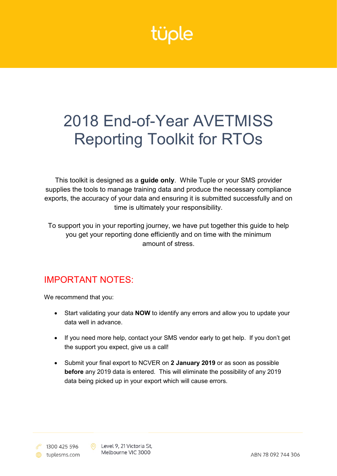# Üple

## 2018 End-of-Year AVETMISS Reporting Toolkit for RTOs

This toolkit is designed as a **guide only**. While Tuple or your SMS provider supplies the tools to manage training data and produce the necessary compliance exports, the accuracy of your data and ensuring it is submitted successfully and on time is ultimately your responsibility.

To support you in your reporting journey, we have put together this guide to help you get your reporting done efficiently and on time with the minimum amount of stress.

#### IMPORTANT NOTES:

We recommend that you:

- Start validating your data **NOW** to identify any errors and allow you to update your data well in advance.
- If you need more help, contact your SMS vendor early to get help. If you don't get the support you expect, give us a call!
- Submit your final export to NCVER on **2 January 2019** or as soon as possible **before** any 2019 data is entered. This will eliminate the possibility of any 2019 data being picked up in your export which will cause errors.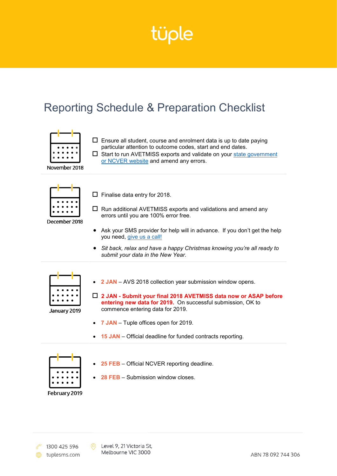### Reporting Schedule & Preparation Checklist



 $\square$  Ensure all student, course and enrolment data is up to date paying particular attention to outcome codes, start and end dates.

 $\square$  Start to run AVETMISS exports and validate on your state government [or NCVER](https://intercom.help/tuplesms/exports-and-reporting/key-australian-government-and-industry-websites) website and amend any errors.



 $\Box$  Finalise data entry for 2018.

December 2018

- $\Box$  Run additional AVETMISS exports and validations and amend any errors until you are 100% error free.
- Ask your SMS provider for help will in advance. If you don't get the help you need, [give us a call!](https://www.tuplesms.com/)
- *Sit back, relax and have a happy Christmas knowing you're all ready to submit your data in the New Year.*



January 2019

- **2 JAN** AVS 2018 collection year submission window opens.
- **2 JAN - Submit your final 2018 AVETMISS data now or ASAP before entering new data for 2019.** On successful submission, OK to commence entering data for 2019.
- **7 JAN** Tuple offices open for 2019.
- **15 JAN** Official deadline for funded contracts reporting.



- **25 FEB** Official NCVER reporting deadline.
- 28 FEB Submission window closes.

1300 425 596 tuplesms.com C Level 9, 21 Victoria St. Melbourne VIC 3000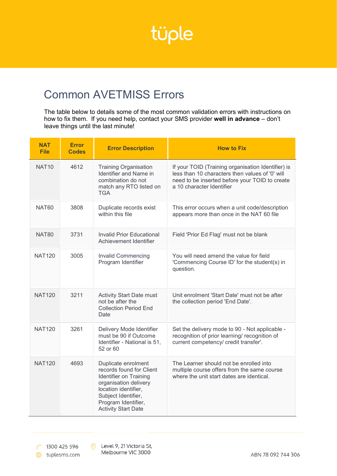

#### Common AVETMISS Errors

The table below to details some of the most common validation errors with instructions on how to fix them. If you need help, contact your SMS provider **well in advance** – don't leave things until the last minute!

| <b>NAT</b><br><b>File</b> | <b>Error</b><br><b>Codes</b> | <b>Error Description</b>                                                                                                                                                                               | <b>How to Fix</b>                                                                                                                                                                    |
|---------------------------|------------------------------|--------------------------------------------------------------------------------------------------------------------------------------------------------------------------------------------------------|--------------------------------------------------------------------------------------------------------------------------------------------------------------------------------------|
| <b>NAT10</b>              | 4612                         | <b>Training Organisation</b><br>Identifier and Name in<br>combination do not<br>match any RTO listed on<br><b>TGA</b>                                                                                  | If your TOID (Training organisation Identifier) is<br>less than 10 characters then values of '0' will<br>need to be inserted before your TOID to create<br>a 10 character Identifier |
| NAT <sub>60</sub>         | 3808                         | Duplicate records exist<br>within this file                                                                                                                                                            | This error occurs when a unit code/description<br>appears more than once in the NAT 60 file                                                                                          |
| <b>NAT80</b>              | 3731                         | <b>Invalid Prior Educational</b><br>Achievement Identifier                                                                                                                                             | Field 'Prior Ed Flag' must not be blank                                                                                                                                              |
| <b>NAT120</b>             | 3005                         | <b>Invalid Commencing</b><br>Program Identifier                                                                                                                                                        | You will need amend the value for field<br>'Commencing Course ID' for the student(s) in<br>question.                                                                                 |
| <b>NAT120</b>             | 3211                         | <b>Activity Start Date must</b><br>not be after the<br><b>Collection Period End</b><br>Date                                                                                                            | Unit enrolment 'Start Date' must not be after<br>the collection period 'End Date'.                                                                                                   |
| <b>NAT120</b>             | 3261                         | Delivery Mode Identifier<br>must be 90 if Outcome<br>Identifier - National is 51,<br>52 or 60                                                                                                          | Set the delivery mode to 90 - Not applicable -<br>recognition of prior learning/ recognition of<br>current competency/ credit transfer'.                                             |
| <b>NAT120</b>             | 4693                         | Duplicate enrolment<br>records found for Client<br>Identifier on Training<br>organisation delivery<br>location identifier,<br>Subject Identifier,<br>Program Identifier,<br><b>Activity Start Date</b> | The Learner should not be enrolled into<br>multiple course offers from the same course<br>where the unit start dates are identical.                                                  |

© Level 9, 21 Victoria St, Melbourne VIC 3000